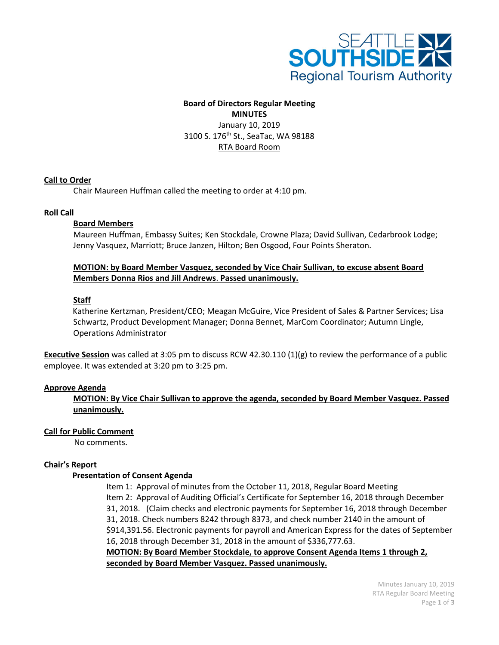

# **Board of Directors Regular Meeting**

**MINUTES** January 10, 2019 3100 S. 176<sup>th</sup> St., SeaTac, WA 98188 RTA Board Room

#### **Call to Order**

Chair Maureen Huffman called the meeting to order at 4:10 pm.

#### **Roll Call**

#### **Board Members**

Maureen Huffman, Embassy Suites; Ken Stockdale, Crowne Plaza; David Sullivan, Cedarbrook Lodge; Jenny Vasquez, Marriott; Bruce Janzen, Hilton; Ben Osgood, Four Points Sheraton.

#### **MOTION: by Board Member Vasquez, seconded by Vice Chair Sullivan, to excuse absent Board Members Donna Rios and Jill Andrews**. **Passed unanimously.**

#### **Staff**

Katherine Kertzman, President/CEO; Meagan McGuire, Vice President of Sales & Partner Services; Lisa Schwartz, Product Development Manager; Donna Bennet, MarCom Coordinator; Autumn Lingle, Operations Administrator

**Executive Session** was called at 3:05 pm to discuss RCW 42.30.110 (1)(g) to review the performance of a public employee. It was extended at 3:20 pm to 3:25 pm.

#### **Approve Agenda**

**MOTION: By Vice Chair Sullivan to approve the agenda, seconded by Board Member Vasquez. Passed unanimously.**

#### **Call for Public Comment**

No comments.

#### **Chair's Report**

#### **Presentation of Consent Agenda**

Item 1: Approval of minutes from the October 11, 2018, Regular Board Meeting Item 2: Approval of Auditing Official's Certificate for September 16, 2018 through December 31, 2018. (Claim checks and electronic payments for September 16, 2018 through December 31, 2018. Check numbers 8242 through 8373, and check number 2140 in the amount of \$914,391.56. Electronic payments for payroll and American Express for the dates of September 16, 2018 through December 31, 2018 in the amount of \$336,777.63. **MOTION: By Board Member Stockdale, to approve Consent Agenda Items 1 through 2,** 

**seconded by Board Member Vasquez. Passed unanimously.**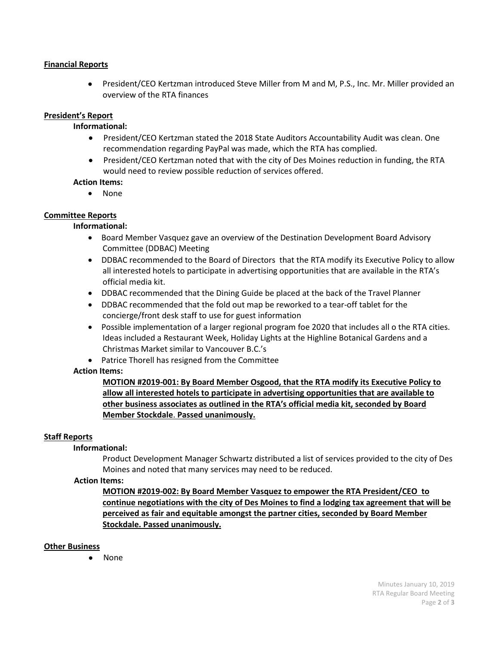#### **Financial Reports**

• President/CEO Kertzman introduced Steve Miller from M and M, P.S., Inc. Mr. Miller provided an overview of the RTA finances

#### **President's Report**

#### **Informational:**

- President/CEO Kertzman stated the 2018 State Auditors Accountability Audit was clean. One recommendation regarding PayPal was made, which the RTA has complied.
- President/CEO Kertzman noted that with the city of Des Moines reduction in funding, the RTA would need to review possible reduction of services offered.

#### **Action Items:**

• None

## **Committee Reports**

#### **Informational:**

- Board Member Vasquez gave an overview of the Destination Development Board Advisory Committee (DDBAC) Meeting
- DDBAC recommended to the Board of Directors that the RTA modify its Executive Policy to allow all interested hotels to participate in advertising opportunities that are available in the RTA's official media kit.
- •DDBAC recommended that the Dining Guide be placed at the back of the Travel Planner
- DDBAC recommended that the fold out map be reworked to a tear-off tablet for the concierge/front desk staff to use for guest information
- Possible implementation of a larger regional program foe 2020 that includes all o the RTA cities. Ideas included a Restaurant Week, Holiday Lights at the Highline Botanical Gardens and a Christmas Market similar to Vancouver B.C.'s
- Patrice Thorell has resigned from the Committee

### **Action Items:**

## **MOTION #2019-001: By Board Member Osgood, that the RTA modify its Executive Policy to allow all interested hotels to participate in advertising opportunities that are available to other business associates as outlined in the RTA's official media kit, seconded by Board Member Stockdale**. **Passed unanimously.**

### **Staff Reports**

#### **Informational:**

Product Development Manager Schwartz distributed a list of services provided to the city of Des Moines and noted that many services may need to be reduced.

#### **Action Items:**

**MOTION #2019-002: By Board Member Vasquez to empower the RTA President/CEO to continue negotiations with the city of Des Moines to find a lodging tax agreement that will be perceived as fair and equitable amongst the partner cities, seconded by Board Member Stockdale. Passed unanimously.**

#### **Other Business**

• None